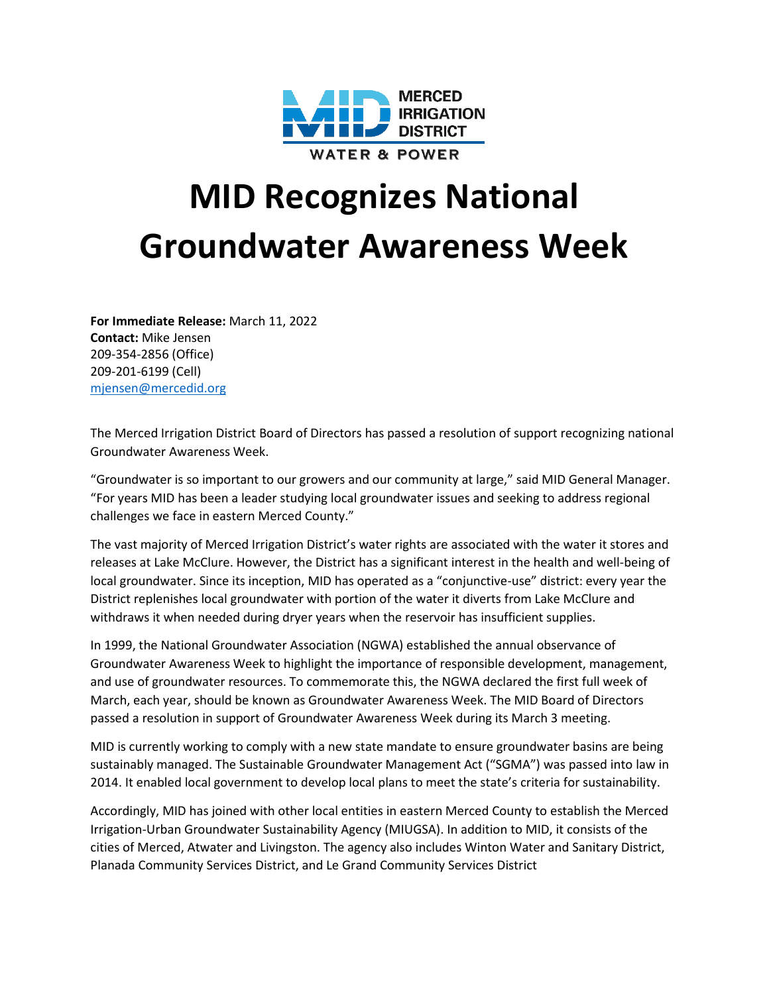

## **MID Recognizes National Groundwater Awareness Week**

**For Immediate Release:** March 11, 2022 **Contact:** Mike Jensen 209-354-2856 (Office) 209-201-6199 (Cell) [mjensen@mercedid.org](mailto:mjensen@mercedid.org)

The Merced Irrigation District Board of Directors has passed a resolution of support recognizing national Groundwater Awareness Week.

"Groundwater is so important to our growers and our community at large," said MID General Manager. "For years MID has been a leader studying local groundwater issues and seeking to address regional challenges we face in eastern Merced County."

The vast majority of Merced Irrigation District's water rights are associated with the water it stores and releases at Lake McClure. However, the District has a significant interest in the health and well-being of local groundwater. Since its inception, MID has operated as a "conjunctive-use" district: every year the District replenishes local groundwater with portion of the water it diverts from Lake McClure and withdraws it when needed during dryer years when the reservoir has insufficient supplies.

In 1999, the National Groundwater Association (NGWA) established the annual observance of Groundwater Awareness Week to highlight the importance of responsible development, management, and use of groundwater resources. To commemorate this, the NGWA declared the first full week of March, each year, should be known as Groundwater Awareness Week. The MID Board of Directors passed a resolution in support of Groundwater Awareness Week during its March 3 meeting.

MID is currently working to comply with a new state mandate to ensure groundwater basins are being sustainably managed. The Sustainable Groundwater Management Act ("SGMA") was passed into law in 2014. It enabled local government to develop local plans to meet the state's criteria for sustainability.

Accordingly, MID has joined with other local entities in eastern Merced County to establish the Merced Irrigation-Urban Groundwater Sustainability Agency (MIUGSA). In addition to MID, it consists of the cities of Merced, Atwater and Livingston. The agency also includes Winton Water and Sanitary District, Planada Community Services District, and Le Grand Community Services District